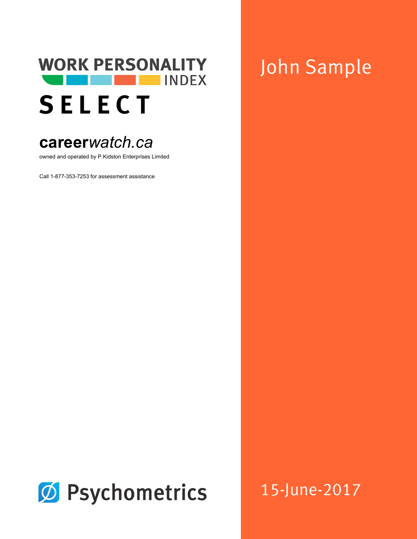

# **career***watch.ca*

owned and operated by P.Kidston Enterprises Limited

Call 1-877-353-7253 for assessment assistance

# John Sample



15-June-2017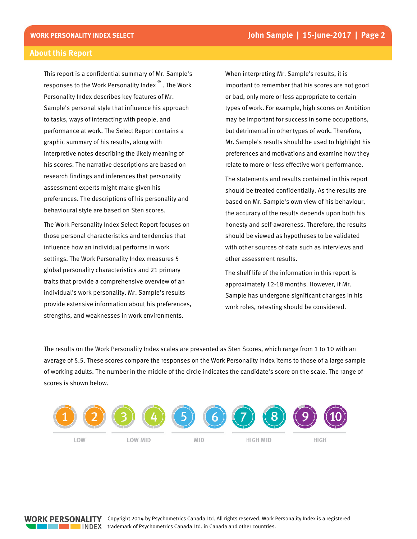#### **About this Report**

This report is a confidential summary of Mr. Sample's responses to the Work Personality Index<sup>®</sup>. The Work Personality Index describes key features of Mr. Sample's personal style that influence his approach to tasks, ways of interacting with people, and performance at work. The Select Report contains a graphic summary of his results, along with interpretive notes describing the likely meaning of his scores. The narrative descriptions are based on research findings and inferences that personality assessment experts might make given his preferences. The descriptions of his personality and behavioural style are based on Sten scores.

The Work Personality Index Select Report focuses on those personal characteristics and tendencies that influence how an individual performs in work settings. The Work Personality Index measures 5 global personality characteristics and 21 primary traits that provide a comprehensive overview of an individual's work personality. Mr. Sample's results provide extensive information about his preferences, strengths, and weaknesses in work environments.

When interpreting Mr. Sample's results, it is important to remember that his scores are not good or bad, only more or less appropriate to certain types of work. For example, high scores on Ambition may be important for success in some occupations, but detrimental in other types of work. Therefore, Mr. Sample's results should be used to highlight his preferences and motivations and examine how they relate to more or less effective work performance.

The statements and results contained in this report should be treated confidentially. As the results are based on Mr. Sample's own view of his behaviour, the accuracy of the results depends upon both his honesty and self-awareness. Therefore, the results should be viewed as hypotheses to be validated with other sources of data such as interviews and other assessment results.

The shelf life of the information in this report is approximately 12-18 months. However, if Mr. Sample has undergone significant changes in his work roles, retesting should be considered.

The results on the Work Personality Index scales are presented as Sten Scores, which range from 1 to 10 with an average of 5.5. These scores compare the responses on the Work Personality Index items to those of a large sample of working adults. The number in the middle of the circle indicates the candidate's score on the scale. The range of scores is shown below.

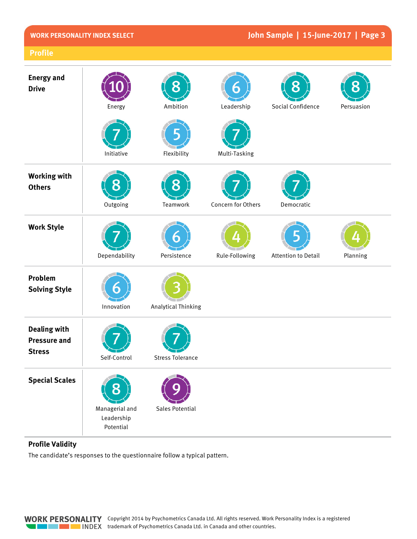## John Sample | 15-June-2017 | Page 3

| <b>Energy and</b><br><b>Drive</b>                           | Energy                                    | Ambition                   | Leadership         | Social Confidence   | Persuasion |
|-------------------------------------------------------------|-------------------------------------------|----------------------------|--------------------|---------------------|------------|
|                                                             | Initiative                                | Flexibility                | Multi-Tasking      |                     |            |
| <b>Working with</b><br><b>Others</b>                        | Outgoing                                  | Teamwork                   | Concern for Others | Democratic          |            |
| <b>Work Style</b>                                           | Dependability                             | Persistence                | Rule-Following     | Attention to Detail | Planning   |
| Problem<br><b>Solving Style</b>                             | Innovation                                | <b>Analytical Thinking</b> |                    |                     |            |
| <b>Dealing with</b><br><b>Pressure and</b><br><b>Stress</b> | Self-Control                              | <b>Stress Tolerance</b>    |                    |                     |            |
| <b>Special Scales</b>                                       | Managerial and<br>Leadership<br>Potential | Sales Potential            |                    |                     |            |

#### **Profile Validity**

The candidate's responses to the questionnaire follow a typical pattern.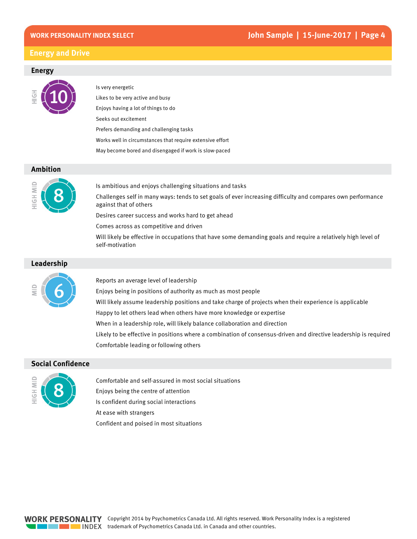#### **Energy and Drive**

#### **Energy**



Is very energetic Likes to be very active and busy Enjoys having a lot of things to do Seeks out excitement Prefers demanding and challenging tasks Works well in circumstances that require extensive effort May become bored and disengaged if work is slow-paced

#### **Ambition**



Is ambitious and enjoys challenging situations and tasks Challenges self in many ways: tends to set goals of ever increasing difficulty and compares own performance against that of others

Desires career success and works hard to get ahead

Comes across as competitive and driven

Will likely be effective in occupations that have some demanding goals and require a relatively high level of self-motivation

#### Leadership



Reports an average level of leadership

Enjoys being in positions of authority as much as most people

Will likely assume leadership positions and take charge of projects when their experience is applicable

Happy to let others lead when others have more knowledge or expertise

When in a leadership role, will likely balance collaboration and direction

Likely to be effective in positions where a combination of consensus-driven and directive leadership is required Comfortable leading or following others

#### **Social Confidence**



Comfortable and self-assured in most social situations Enjoys being the centre of attention Is confident during social interactions At ease with strangers

Confident and poised in most situations

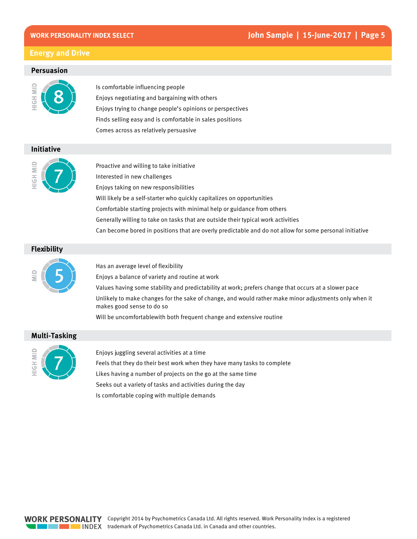#### John Sample | 15-June-2017 | Page 5

#### **Energy and Drive**

#### **Persuasion**



Is comfortable influencing people Enjoys negotiating and bargaining with others Enjoys trying to change people's opinions or perspectives Finds selling easy and is comfortable in sales positions Comes across as relatively persuasive

#### **Initiative**



Proactive and willing to take initiative Interested in new challenges Enjoys taking on new responsibilities Will likely be a self-starter who quickly capitalizes on opportunities Comfortable starting projects with minimal help or guidance from others Generally willing to take on tasks that are outside their typical work activities Can become bored in positions that are overly predictable and do not allow for some personal initiative

#### **Flexibility**



Has an average level of flexibility

Enjoys a balance of variety and routine at work

Values having some stability and predictability at work; prefers change that occurs at a slower pace

Unlikely to make changes for the sake of change, and would rather make minor adjustments only when it makes good sense to do so

Will be uncomfortablewith both frequent change and extensive routine

#### **Multi-Tasking**



Enjoys juggling several activities at a time Feels that they do their best work when they have many tasks to complete Likes having a number of projects on the go at the same time Seeks out a variety of tasks and activities during the day Is comfortable coping with multiple demands

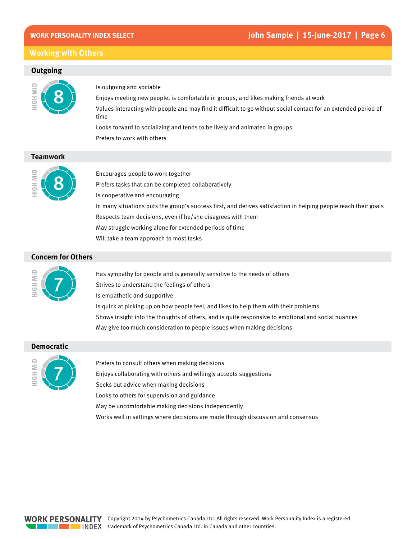#### **Working with Others**

#### Outgoing



Is outgoing and sociable

Enjoys meeting new people, is comfortable in groups, and likes making friends at work Values interacting with people and may find it difficult to go without social contact for an extended period of time

Looks forward to socializing and tends to be lively and animated in groups Prefers to work with others

#### **Teamwork**



Encourages people to work together Prefers tasks that can be completed collaboratively Is cooperative and encouraging In many situations puts the group's success first, and derives satisfaction in helping people reach their goals Respects team decisions, even if he/she disagrees with them May struggle working alone for extended periods of time Will take a team approach to most tasks

#### **Concern for Others**



Has sympathy for people and is generally sensitive to the needs of others Strives to understand the feelings of others Is empathetic and supportive Is quick at picking up on how people feel, and likes to help them with their problems Shows insight into the thoughts of others, and is quite responsive to emotional and social nuances May give too much consideration to people issues when making decisions

#### **Democratic**



Prefers to consult others when making decisions Enjoys collaborating with others and willingly accepts suggestions Seeks out advice when making decisions Looks to others for supervision and guidance May be uncomfortable making decisions independently Works well in settings where decisions are made through discussion and consensus

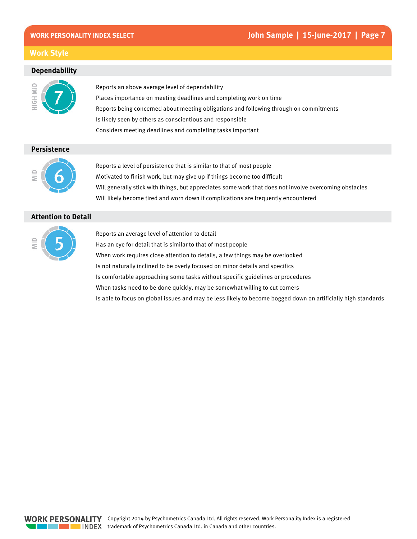#### **Work Style**

#### **Dependability**



Reports an above average level of dependability Places importance on meeting deadlines and completing work on time Reports being concerned about meeting obligations and following through on commitments Is likely seen by others as conscientious and responsible Considers meeting deadlines and completing tasks important

#### **Persistence**



Reports a level of persistence that is similar to that of most people Motivated to finish work, but may give up if things become too difficult Will generally stick with things, but appreciates some work that does not involve overcoming obstacles Will likely become tired and worn down if complications are frequently encountered

#### **Attention to Detail**



Reports an average level of attention to detail Has an eve for detail that is similar to that of most people When work requires close attention to details, a few things may be overlooked Is not naturally inclined to be overly focused on minor details and specifics Is comfortable approaching some tasks without specific guidelines or procedures When tasks need to be done quickly, may be somewhat willing to cut corners Is able to focus on global issues and may be less likely to become bogged down on artificially high standards

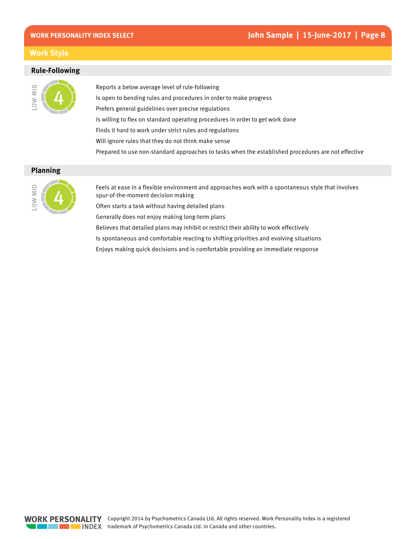#### **Work Style**

#### **Rule-Following**



Reports a below average level of rule-following Is open to bending rules and procedures in order to make progress Prefers general guidelines over precise regulations Is willing to flex on standard operating procedures in order to get work done Finds it hard to work under strict rules and regulations Will ignore rules that they do not think make sense

Prepared to use non-standard approaches to tasks when the established procedures are not effective

#### **Planning**



Feels at ease in a flexible environment and approaches work with a spontaneous style that involves spur-of-the-moment decision making

Often starts a task without having detailed plans

Generally does not enjoy making long-term plans

Believes that detailed plans may inhibit or restrict their ability to work effectively

Is spontaneous and comfortable reacting to shifting priorities and evolving situations

Enjoys making quick decisions and is comfortable providing an immediate response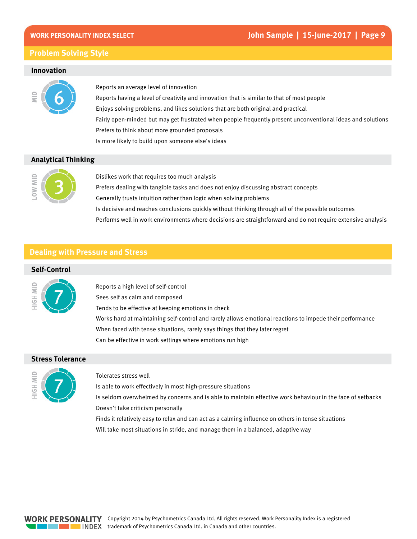#### **Problem Solving Style**

#### **Innovation**



Reports an average level of innovation Reports having a level of creativity and innovation that is similar to that of most people Enjoys solving problems, and likes solutions that are both original and practical Fairly open-minded but may get frustrated when people frequently present unconventional ideas and solutions Prefers to think about more grounded proposals Is more likely to build upon someone else's ideas

#### **Analytical Thinking**



Dislikes work that requires too much analysis Prefers dealing with tangible tasks and does not enjoy discussing abstract concepts Generally trusts intuition rather than logic when solving problems Is decisive and reaches conclusions quickly without thinking through all of the possible outcomes Performs well in work environments where decisions are straightforward and do not require extensive analysis

#### **Dealing with Pressure and Stress**

#### **Self-Control**



Reports a high level of self-control Sees self as calm and composed Tends to be effective at keeping emotions in check Works hard at maintaining self-control and rarely allows emotional reactions to impede their performance When faced with tense situations, rarely says things that they later regret Can be effective in work settings where emotions run high

#### **Stress Tolerance**



#### Tolerates stress well

Is able to work effectively in most high-pressure situations

Is seldom overwhelmed by concerns and is able to maintain effective work behaviour in the face of setbacks Doesn't take criticism personally

Finds it relatively easy to relax and can act as a calming influence on others in tense situations Will take most situations in stride, and manage them in a balanced, adaptive way